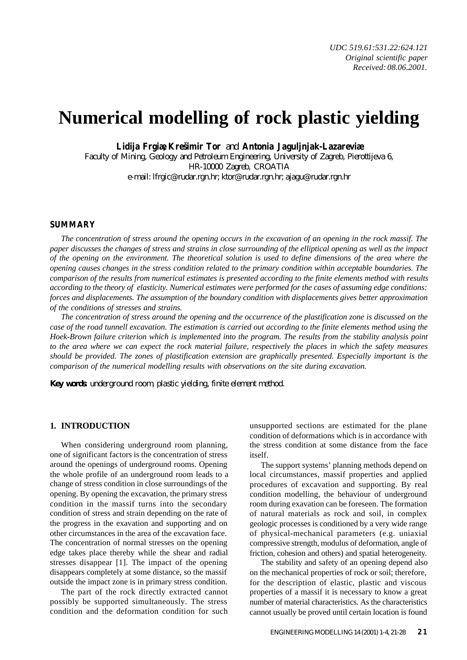# **Numerical modelling of rock plastic yielding**

**Lidija Frgiæ, Krešimir Tor** and **Antonia Jaguljnjak-Lazareviæ**

Faculty of Mining, Geology and Petroleum Engineering, University of Zagreb, Pierottijeva 6, HR-10000 Zagreb, CROATIA e-mail: lfrgic@rudar.rgn.hr; ktor@rudar.rgn.hr; ajagu@rudar.rgn.hr

#### **SUMMARY**

*The concentration of stress around the opening occurs in the excavation of an opening in the rock massif. The paper discusses the changes of stress and strains in close surrounding of the elliptical opening as well as the impact of the opening on the environment. The theoretical solution is used to define dimensions of the area where the opening causes changes in the stress condition related to the primary condition within acceptable boundaries. The comparison of the results from numerical estimates is presented according to the finite elements method with results according to the theory of elasticity. Numerical estimates were performed for the cases of assuming edge conditions: forces and displacements. The assumption of the boundary condition with displacements gives better approximation of the conditions of stresses and strains.*

*The concentration of stress around the opening and the occurrence of the plastification zone is discussed on the case of the road tunnell excavation. The estimation is carried out according to the finite elements method using the Hoek-Brown failure criterion which is implemented into the program. The results from the stability analysis point to the area where we can expect the rock material failure, respectively the places in which the safety measures should be provided. The zones of plastification extension are graphically presented. Especially important is the comparison of the numerical modelling results with observations on the site during excavation.*

*Key words: underground room, plastic yielding, finite element method.*

# **1. INTRODUCTION**

When considering underground room planning, one of significant factors is the concentration of stress around the openings of underground rooms. Opening the whole profile of an underground room leads to a change of stress condition in close surroundings of the opening. By opening the excavation, the primary stress condition in the massif turns into the secondary condition of stress and strain depending on the rate of the progress in the exavation and supporting and on other circumstances in the area of the excavation face. The concentration of normal stresses on the opening edge takes place thereby while the shear and radial stresses disappear [1]. The impact of the opening disappears completely at some distance, so the massif outside the impact zone is in primary stress condition.

The part of the rock directly extracted cannot possibly be supported simultaneously. The stress condition and the deformation condition for such

unsupported sections are estimated for the plane condition of deformations which is in accordance with the stress condition at some distance from the face itself.

The support systems' planning methods depend on local circumstances, massif properties and applied procedures of excavation and supporting. By real condition modelling, the behaviour of underground room during exavation can be foreseen. The formation of natural materials as rock and soil, in complex geologic processes is conditioned by a very wide range of physical-mechanical parameters (e.g. uniaxial compressive strength, modulus of deformation, angle of friction, cohesion and others) and spatial heterogeneity.

The stability and safety of an opening depend also on the mechanical properties of rock or soil; therefore, for the description of elastic, plastic and viscous properties of a massif it is necessary to know a great number of material characteristics. As the characteristics cannot usually be proved until certain location is found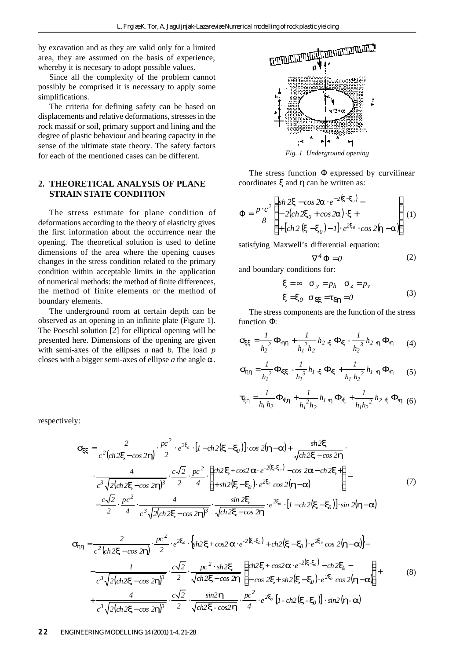by excavation and as they are valid only for a limited area, they are assumed on the basis of experience, whereby it is necesary to adopt possible values.

Since all the complexity of the problem cannot possibly be comprised it is necessary to apply some simplifications.

The criteria for defining safety can be based on displacements and relative deformations, stresses in the rock massif or soil, primary support and lining and the degree of plastic behaviour and bearing capacity in the sense of the ultimate state theory. The safety factors for each of the mentioned cases can be different.

#### **2. THEORETICAL ANALYSIS OF PLANE STRAIN STATE CONDITION**

The stress estimate for plane condition of deformations according to the theory of elasticity gives the first information about the occurrence near the opening. The theoretical solution is used to define dimensions of the area where the opening causes changes in the stress condition related to the primary condition within acceptable limits in the application of numerical methods: the method of finite differences, the method of finite elements or the method of boundary elements.

The underground room at certain depth can be observed as an opening in an infinite plate (Figure 1). The Poeschl solution [2] for elliptical opening will be presented here. Dimensions of the opening are given with semi-axes of the ellipses *a* nad *b*. The load *p* closes with a bigger semi-axes of ellipse *a* the angle *a*.

respectively:



The stress function *F* expressed by curvilinear coordinates *x* and *h* can be written as:

$$
F = \frac{p \cdot c^2}{8} \begin{cases} sh \, 2\mathbf{x} - \cos 2\mathbf{a} \cdot e^{-2(\mathbf{x} - \mathbf{x}_0)} - \\ -2(ch \, 2\mathbf{x}_0 + \cos 2\mathbf{a}) \cdot \mathbf{x} + \\ + [ch \, 2(\mathbf{x} - \mathbf{x}_0) - I] \cdot e^{2\mathbf{x}_0} \cdot \cos 2(\mathbf{h} - \mathbf{a}) \end{cases} (1)
$$

satisfying Maxwell's differential equation:

$$
\nabla^4 \, \mathbf{F} = 0 \tag{2}
$$

and boundary conditions for:

$$
\mathbf{x} = \infty \quad \mathbf{S}_y = p_h \quad \mathbf{S}_z = p_v
$$
  

$$
\mathbf{x} = \mathbf{x}_0 \quad \mathbf{S}_{\mathbf{xx}} = \mathbf{t}_{\mathbf{xi}} = 0
$$
 (3)

The stress components are the function of the stress function *F*:

$$
\mathbf{S}_{\mathbf{XX}} = \frac{1}{h_2^2} \mathbf{F}_{\mathbf{h} \mathbf{h}} + \frac{1}{h_1^2 h_2} h_2 \cdot_{\mathbf{X}} \mathbf{F}_{\mathbf{X}} - \frac{1}{h_2^3} h_2 \cdot_{\mathbf{h}} \mathbf{F}_{\mathbf{h}} \tag{4}
$$

$$
\mathbf{S}_{hh} = \frac{1}{h_I^2} \mathbf{F}_{xx} - \frac{1}{h_I^3} h_I \cdot_{x} \mathbf{F}_{x} + \frac{1}{h_I h_2^2} h_I \cdot_{h} \mathbf{F}_{h} \qquad (5)
$$

$$
\boldsymbol{t}_{xh} = \frac{1}{h_l h_2} \boldsymbol{F}_{xh} + \frac{1}{h_l^2 h_2} h_l \cdot_h \boldsymbol{F}_{x} + \frac{1}{h_l h_2^2} h_2 \cdot_x \boldsymbol{F}_{h} \tag{6}
$$

$$
\mathbf{s}_{xx} = \frac{2}{c^2(ch2\mathbf{x} - cos2\mathbf{h})} \cdot \frac{pc^2}{2} \cdot e^{2x_0} \cdot [1 - ch2(\mathbf{x} - \mathbf{x}_0)] \cdot cos 2(\mathbf{h} - \mathbf{a}) + \frac{sh2\mathbf{x}}{\sqrt{ch2\mathbf{x} - cos2\mathbf{h}}} \cdot \frac{4}{\sqrt{c^3 \sqrt{2(ch2\mathbf{x} - cos2\mathbf{h})^3}} \cdot \frac{c\sqrt{2}}{2} \cdot \frac{pc^2}{4} \cdot \begin{cases} ch2\mathbf{x} + cos2\mathbf{a} \cdot e^{-2(\mathbf{x} - \mathbf{x}_0)} - cos 2\mathbf{a} - ch2\mathbf{x} + \frac{b}{\sqrt{c^3 \sqrt{2(ch2\mathbf{x} - cos2\mathbf{h})^3}}} \\ + sh2(\mathbf{x} - \mathbf{x}_0) \cdot e^{2x_0} \cos 2(\mathbf{h} - \mathbf{a}) \end{cases} - \frac{c\sqrt{2}}{2} \cdot \frac{pc^2}{4} \cdot \frac{4}{c^3 \sqrt{2(ch2\mathbf{x} - cos2\mathbf{h})^3}} \cdot \frac{sin 2\mathbf{x}}{\sqrt{ch2\mathbf{x} - cos2\mathbf{h}}} \cdot e^{2x_0} \cdot [1 - ch2(\mathbf{x} - \mathbf{x}_0)] \cdot sin 2(\mathbf{h} - \mathbf{a}) \tag{7}
$$

$$
\mathbf{S}_{\mathbf{h}\mathbf{h}} = \frac{2}{c^2 \left( ch \, 2\mathbf{x} - \cos 2\mathbf{h} \right)} \cdot \frac{pc^2}{2} \cdot e^{2\mathbf{x}_0} \cdot \left\{ sh \, 2\mathbf{x} + \cos 2\mathbf{a} \cdot e^{-2\left(\mathbf{x} - \mathbf{x}_0\right)} + ch \, 2\left(\mathbf{x} - \mathbf{x}_0\right) \cdot e^{2\mathbf{x}_0} \cos 2(\mathbf{h} - \mathbf{a}) \right\} - \frac{1}{c^3 \sqrt{2 \left( ch \, 2\mathbf{x} - \cos 2\mathbf{h} \right)^3}} \cdot \frac{c\sqrt{2}}{2} \cdot \frac{pc^2 \cdot sh \, 2\mathbf{x}}{\sqrt{ch \, 2\mathbf{x} - \cos 2\mathbf{h}}} \begin{cases} ch \, 2\mathbf{x} + \cos 2\mathbf{a} \cdot e^{-2\left(\mathbf{x} - \mathbf{x}_0\right)} - ch \, 2\mathbf{x}_0 - \\ -\cos 2\mathbf{x} + sh \, 2\left(\mathbf{x} - \mathbf{x}_0\right) \cdot e^{2\mathbf{x}_0} \cos 2(\mathbf{h} - \mathbf{a}) \right) + \frac{4}{c^3 \sqrt{2 \left( ch \, 2\mathbf{x} - \cos 2\mathbf{h} \right)^3}} \cdot \frac{c\sqrt{2}}{2} \cdot \frac{\sin 2\mathbf{h}}{\sqrt{ch \, 2\mathbf{x} - \cos 2\mathbf{h}}} \cdot \frac{pc^2}{4} \cdot e^{2\mathbf{x}_0} \left[1 - ch \, 2\left(\mathbf{x} - \mathbf{x}_0\right)\right] \cdot \sin 2(\mathbf{h} - \mathbf{a}) \end{cases} \tag{8}
$$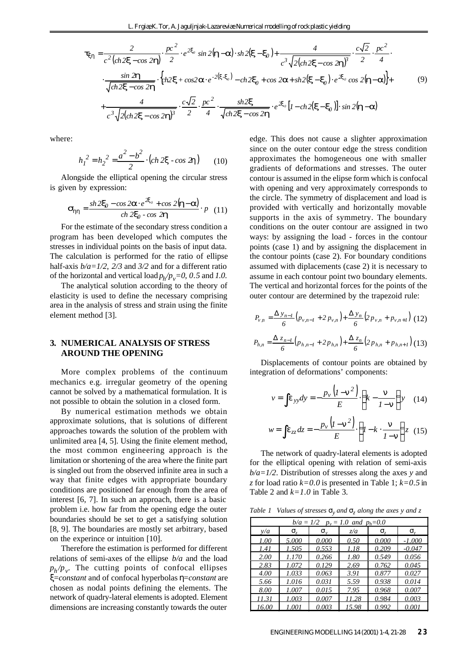$$
\mathbf{t}_{xh} = \frac{2}{c^2 \left( ch \, 2\mathbf{x} - \cos 2\mathbf{h} \right)} \cdot \frac{pc^2}{2} \cdot e^{2\mathbf{x}_0} \sin 2(\mathbf{h} - \mathbf{a}) \cdot sh \, 2(\mathbf{x} - \mathbf{x}_0) + \frac{4}{c^3 \sqrt{2 \left( ch \, 2\mathbf{x} - \cos 2\mathbf{h} \right)^3}} \cdot \frac{c\sqrt{2}}{2} \cdot \frac{pc^2}{4} \cdot \frac{c\sqrt{2}}{4} \cdot \frac{c\sqrt{2}}{\sqrt{ch \, 2\mathbf{x} - \cos 2\mathbf{h}}} \cdot \left\{ ch \, 2\mathbf{x} + \cos 2\mathbf{a} \cdot e^{-2(\mathbf{x} - \mathbf{x}_0)} - ch \, 2\mathbf{x}_0 + \cos 2\mathbf{a} + sh \, 2(\mathbf{x} - \mathbf{x}_0) \cdot e^{2\mathbf{x}_0} \cos 2(\mathbf{h} - \mathbf{a}) \right\} + \frac{4}{c^3 \sqrt{2 \left( ch \, 2\mathbf{x} - \cos 2\mathbf{h} \right)^3}} \cdot \frac{c\sqrt{2}}{2} \cdot \frac{pc^2}{4} \cdot \frac{sh \, 2\mathbf{x}}{\sqrt{ch \, 2\mathbf{x} - \cos 2\mathbf{h}}} \cdot e^{2\mathbf{x}_0} \left[ l - ch \, 2(\mathbf{x} - \mathbf{x}_0) \right] \cdot \sin 2(\mathbf{h} - \mathbf{a}) \tag{9}
$$

where:

$$
h_1^2 = h_2^2 = \frac{a^2 - b^2}{2} \cdot (ch \, 2\mathbf{x} - cos \, 2\mathbf{h}) \qquad (10)
$$

Alongside the elliptical opening the circular stress is given by expression:

$$
\mathbf{S}_{hh} = \frac{sh2\mathbf{x}_0 - \cos 2\mathbf{a} \cdot e^{2\mathbf{x}_0} + \cos 2(\mathbf{h} - \mathbf{a})}{\cosh 2\mathbf{x}_0 - \cos 2\mathbf{h}} \cdot p \quad (11)
$$

For the estimate of the secondary stress condition a program has been developed which computes the stresses in individual points on the basis of input data. The calculation is performed for the ratio of ellipse half-axis *b/a=1/2*, *2/3* and *3/2* and for a different ratio of the horizontal and vertical load  $p_h/p_v=0$ , 0.5 and 1.0.

The analytical solution according to the theory of elasticity is used to define the necessary comprising area in the analysis of stress and strain using the finite element method [3].

#### **3. NUMERICAL ANALYSIS OF STRESS AROUND THE OPENING**

More complex problems of the continuum mechanics e.g. irregular geometry of the opening cannot be solved by a mathematical formulation. It is not possible to obtain the solution in a closed form.

By numerical estimation methods we obtain approximate solutions, that is solutions of different approaches towards the solution of the problem with unlimited area [4, 5]. Using the finite element method, the most common engineering approach is the limitation or shortening of the area where the finite part is singled out from the observed infinite area in such a way that finite edges with appropriate boundary conditions are positioned far enough from the area of interest [6, 7]. In such an approach, there is a basic problem i.e. how far from the opening edge the outer boundaries should be set to get a satisfying solution [8, 9]. The boundaries are mostly set arbitrary, based on the experince or intuition [10].

Therefore the estimation is performed for different relations of semi-axes of the ellipse *b/a* and the load  $p_h / p_v$ . The cutting points of confocal ellipses *x*=*constant* and of confocal hyperbolas *h*=*constant* are chosen as nodal points defining the elements. The network of quadry-lateral elements is adopted. Element dimensions are increasing constantly towards the outer

edge. This does not cause a slighter approximation since on the outer contour edge the stress condition approximates the homogeneous one with smaller gradients of deformations and stresses. The outer contour is assumed in the elipse form which is confocal with opening and very approximately corresponds to the circle. The symmetry of displacement and load is provided with vertically and horizontally movable supports in the axis of symmetry. The boundary conditions on the outer contour are assigned in two ways: by assigning the load - forces in the contour points (case 1) and by assigning the displacement in the contour points (case 2). For boundary conditions assumed with diplacements (case 2) it is necessary to assume in each contour point two boundary elements. The vertical and horizontal forces for the points of the outer contour are determined by the trapezoid rule:

$$
P_{v,n} = \frac{\mathbf{D} y_{n-1}}{6} \left( p_{v,n-1} + 2 p_{v,n} \right) + \frac{\mathbf{D} y_n}{6} \left( 2 p_{v,n} + p_{v,n+1} \right)
$$
 (12)

$$
P_{h,n} = \frac{\boldsymbol{D} \boldsymbol{z}_{n-1}}{6} \Big( p_{h,n-1} + 2 \, p_{h,n} \Big) + \frac{\boldsymbol{D} \, \boldsymbol{z}_n}{6} \Big( 2 \, p_{h,n} + p_{h,n+1} \Big) \, (13)
$$

Displacements of contour points are obtained by integration of deformations' components:

$$
v = \int \mathbf{e}_{yy} dy = -\frac{p_v \left( I - \mathbf{n}^2 \right)}{E} \cdot \left( k - \frac{\mathbf{n}}{I - \mathbf{n}} \right) y \quad (14)
$$

$$
w = \int e_{zz} dz = -\frac{p_v \left(l - n^2\right)}{E} \cdot \left(l - k \cdot \frac{n}{l - n}\right) z \tag{15}
$$

The network of quadry-lateral elements is adopted for the elliptical opening with relation of semi-axis *b/a=1/2*. Distribution of stresses along the axes *y* and *z* for load ratio *k=0.0* is presented in Table 1; *k=0.5* in Table 2 and  $k=1.0$  in Table 3.

*Table 1 Values of stresses s<sup>y</sup> and s<sup>z</sup> along the axes y and z*

|       | $p_v = 1.0$<br>$b/a = 1/2$<br>and $p_h=0.0$ |                           |       |                |                           |  |  |  |  |  |
|-------|---------------------------------------------|---------------------------|-------|----------------|---------------------------|--|--|--|--|--|
| y/a   | $\mathbf{S}_{z}$                            | $\mathbf{S}_{\mathrm{v}}$ | z/a   | $\mathbf{S}_7$ | $\mathbf{S}_{\mathrm{v}}$ |  |  |  |  |  |
| 1.00  | 5.000                                       | 0.000                     | 0.50  | 0.000          | -1.000                    |  |  |  |  |  |
| 1.41  | 1.505                                       | 0.553                     | 1.18  | 0.209          | $-0.047$                  |  |  |  |  |  |
| 2.00  | 1.170                                       | 0.266                     | 1.80  | 0.549          | 0.056                     |  |  |  |  |  |
| 2.83  | 1.072                                       | 0.129                     | 2.69  | 0.762          | 0.045                     |  |  |  |  |  |
| 4.00  | 1.033                                       | 0.063                     | 3.91  | 0.877          | 0.027                     |  |  |  |  |  |
| 5.66  | 1.016                                       | 0.031                     | 5.59  | 0.938          | 0.014                     |  |  |  |  |  |
| 8.00  | 1.007                                       | 0.015                     | 7.95  | 0.968          | 0.007                     |  |  |  |  |  |
| 11.31 | 1.003                                       | 0.007                     | 11.28 | 0.984          | 0.003                     |  |  |  |  |  |
| 16.00 | 1.001                                       | 0.003                     | 15.98 | 0.992          | 0.001                     |  |  |  |  |  |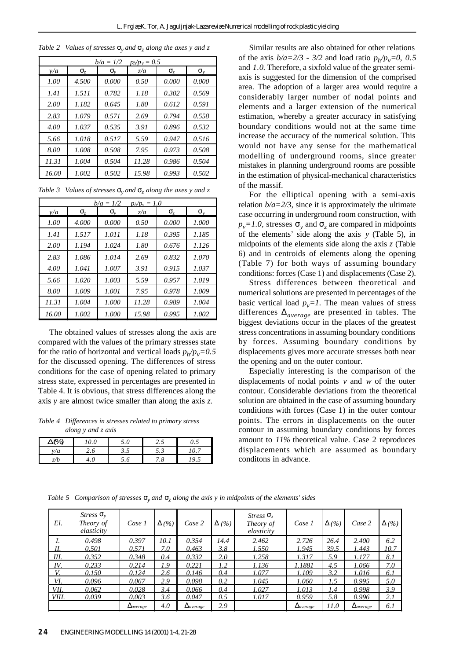| Table 2 Values of stresses $s_y$ and $s_z$ along the axes y and z |  |  |  |  |
|-------------------------------------------------------------------|--|--|--|--|
|-------------------------------------------------------------------|--|--|--|--|

|       |                  | $b/a = 1/2$               | $p_h / p_v = 0.5$ |                |                  |
|-------|------------------|---------------------------|-------------------|----------------|------------------|
| v/a   | $\mathbf{S}_{z}$ | $\mathbf{S}_{\mathrm{v}}$ | z/a               | $\mathbf{S}_z$ | $\mathbf{S}_{v}$ |
| 1.00  | 4.500            | 0.000                     | 0.50              | 0.000          | 0.000            |
| 1.41  | 1.511            | 0.782                     | 1.18              | 0.302          | 0.569            |
| 2.00  | 1.182            | 0.645                     | 1.80              | 0.612          | 0.591            |
| 2.83  | 1.079            | 0.571                     | 2.69              | 0.794          | 0.558            |
| 4.00  | 1.037            | 0.535                     | 3.91              | 0.896          | 0.532            |
| 5.66  | 1.018            | 0.517                     | 5.59              | 0.947          | 0.516            |
| 8.00  | 1.008            | 0.508                     | 7.95              | 0.973          | 0.508            |
| 11.31 | 1.004            | 0.504                     | 11.28             | 0.986          | 0.504            |
| 16.00 | 1.002            | 0.502                     | 15.98             | 0.993          | 0.502            |

|  |  | Table 3 Values of stresses $S_y$ and $S_z$ along the axes y and z |  |  |  |  |  |  |  |  |
|--|--|-------------------------------------------------------------------|--|--|--|--|--|--|--|--|
|--|--|-------------------------------------------------------------------|--|--|--|--|--|--|--|--|

|       |                                      | $b/a = 1/2$               | $p_h / p_v = 1.0$ |                |                  |
|-------|--------------------------------------|---------------------------|-------------------|----------------|------------------|
| v/a   | $\mathbf{S}_{\scriptscriptstyle{7}}$ | $\mathbf{S}_{\mathrm{v}}$ | z/a               | $\mathbf{S}_z$ | $\mathbf{S}_{v}$ |
| 1.00  | 4.000                                | 0.000                     | 0.50              | 0.000          | 1.000            |
| 1.41  | 1.517                                | 1.011                     | 1.18              | 0.395          | 1.185            |
| 2.00  | 1.194                                | 1.024                     | 1.80              | 0.676          | 1.126            |
| 2.83  | 1.086                                | 1.014                     | 2.69              | 0.832          | 1.070            |
| 4.00  | 1.041                                | 1.007                     | 3.91              | 0.915          | 1.037            |
| 5.66  | 1.020                                | 1.003                     | 5.59              | 0.957          | 1.019            |
| 8.00  | 1.009                                | 1.001                     | 7.95              | 0.978          | 1.009            |
| 11.31 | 1.004                                | 1.000                     | 11.28             | 0.989          | 1.004            |
| 16.00 | 1.002                                | 1.000                     | 15.98             | 0.995          | 1.002            |

The obtained values of stresses along the axis are compared with the values of the primary stresses state for the ratio of horizontal and vertical loads  $p_h/p_v=0.5$ for the discussed opening. The differences of stress conditions for the case of opening related to primary stress state, expressed in percentages are presented in Table 4. It is obvious, that stress differences along the axis *y* are almost twice smaller than along the axis *z*.

*Table 4 Differences in stresses related to primary stress along y and z axis*

|                                         | - -             |       |          |                             |
|-----------------------------------------|-----------------|-------|----------|-----------------------------|
| DPA<br>17 U<br>$\overline{\phantom{a}}$ | 0<br>$\sigma$ . | 5.0   | ۔ ۔      | $\mathsf{v}\cdot\mathsf{v}$ |
| <br>' a                                 | ن ک             | ر . ر | ں ۔      |                             |
| -<br>/b                                 | +.∪             | J.O   | c<br>. 0 | $\cdot$ $\sim$              |

**Similar results are also obtained for other relations** of the axis  $b/a = 2/3 - 3/2$  and load ratio  $p_h / p_v = 0$ , 0.5 and *1.0*. Therefore, a sixfold value of the greater semiaxis is suggested for the dimension of the comprised area. The adoption of a larger area would require a considerably larger number of nodal points and elements and a larger extension of the numerical estimation, whereby a greater accuracy in satisfying boundary conditions would not at the same time increase the accuracy of the numerical solution. This would not have any sense for the mathematical modelling of underground rooms, since greater mistakes in planning underground rooms are possible in the estimation of physical-mechanical characteristics of the massif.

For the elliptical opening with a semi-axis relation  $b/a = 2/3$ , since it is approximately the ultimate case occurring in underground room construction, with  $p_v = 1.0$ , stresses  $s_y$  and  $s_z$  are compared in midpoints of the elements' side along the axis *y* (Table 5), in midpoints of the elements side along the axis *z* (Table 6) and in centroids of elements along the opening (Table 7) for both ways of assuming boundary conditions: forces (Case 1) and displacements (Case 2).

Stress differences between theoretical and numerical solutions are presented in percentages of the basic vertical load  $p_v = 1$ . The mean values of stress differences *Daverage* are presented in tables. The biggest deviations occur in the places of the greatest stress concentrations in assuming boundary conditions by forces. Assuming boundary conditions by displacements gives more accurate stresses both near the opening and on the outer contour.

Especially interesting is the comparison of the displacements of nodal points  $v$  and  $w$  of the outer contour. Considerable deviations from the theoretical solution are obtained in the case of assuming boundary conditions with forces (Case 1) in the outer contour points. The errors in displacements on the outer contour in assuming boundary conditions by forces amount to *11%* theoretical value. Case 2 reproduces displacements which are assumed as boundary conditons in advance.

*Table 5 Comparison of stresses*  $\mathbf{s}_y$  *and*  $\mathbf{s}_z$  *along the axis y in midpoints of the elements' sides* 

| El.   | Stress $\mathbf{s}_v$<br>Theory of<br>elasticity | Case 1             | $\bm{D}$ (%) | Case 2             | $\bm{D}$ (%) | Stress $S_z$<br>Theory of<br>elasticity | Case 1             | $\bm{D}$ (%) | Case 2             | $\bm{D}(\%)$ |
|-------|--------------------------------------------------|--------------------|--------------|--------------------|--------------|-----------------------------------------|--------------------|--------------|--------------------|--------------|
|       | 0.498                                            | 0.397              | 10.1         | 0.354              | 14.4         | 2.462                                   | 2.726              | 26.4         | 2.400              | 6.2          |
| П.    | 0.501                                            | 0.571              | 7.0          | 0.463              | 3.8          | 1.550                                   | 1.945              | 39.5         | 1.443              | 10.7         |
| Ш.    | 0.352                                            | 0.348              | 0.4          | 0.332              | 2.0          | 1.258                                   | 1.317              | 5.9          | 1.177              | 8.1          |
| IV.   | 0.233                                            | 0.214              | 1.9          | 0.221              | 1.2          | 1.136                                   | 1.1881             | 4.5          | 1.066              | 7.0          |
| V.    | 0.150                                            | 0.124              | 2.6          | 0.146              | 0.4          | 1.077                                   | 1.109              | 3.2          | 1.016              | 6.1          |
| VI.   | 0.096                                            | 0.067              | 2.9          | 0.098              | 0.2          | 1.045                                   | 1.060              | 1.5          | 0.995              | 5.0          |
| VII.  | 0.062                                            | 0.028              | 3.4          | 0.066              | 0.4          | 1.027                                   | 1.013              | 1.4          | 0.998              | 3.9          |
| VIII. | 0.039                                            | 0.003              | 3.6          | 0.047              | 0.5          | 1.017                                   | 0.959              | 5.8          | 0.996              | 2.1          |
|       |                                                  | $\bm{D}_{average}$ | 4.0          | $\bm{D}_{average}$ | 2.9          |                                         | $\bm{D}_{average}$ | 11.0         | $\bm{D}_{average}$ | 6.1          |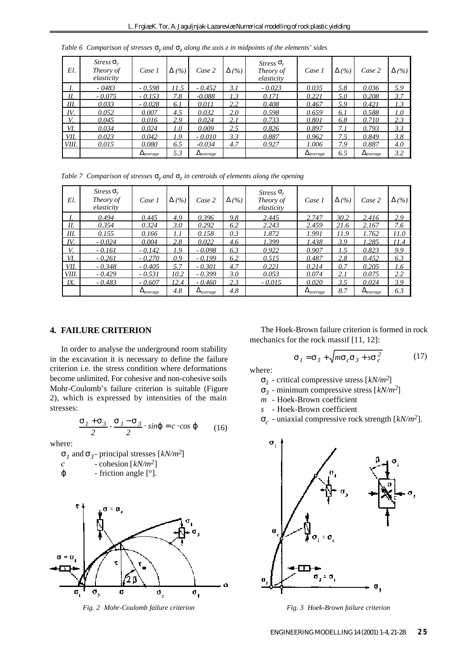| El.          | $Stress S_v$<br>Theory of<br>elasticity | Case 1             | $\bm{D}$ (%) | Case 2             | $\bm{D}$ (%) | Stress $S_z$<br>Theory of<br>elasticity | Case 1             | $\bm{D}$ (%) | Case 2             | $\bm{D}$ (%) |
|--------------|-----------------------------------------|--------------------|--------------|--------------------|--------------|-----------------------------------------|--------------------|--------------|--------------------|--------------|
| I.           | $-0483$                                 | $-0.598$           | 11.5         | $-0.452$           | 3.1          | $-0.023$                                | 0.035              | 5.8          | 0.036              | 5.9          |
| Н.           | $-0.075$                                | $-0.153$           | 7.8          | $-0.088$           | 1.3          | 0.171                                   | 0.221              | 5.0          | 0.208              | 3.7          |
| III.         | 0.033                                   | $-0.028$           | 6.1          | 0.011              | 2.2          | 0.408                                   | 0.467              | 5.9          | 0.421              | 1.3          |
| IV.          | 0.052                                   | 0.007              | 4.5          | 0.032              | 2.0          | 0.598                                   | 0.659              | 6.1          | 0.588              | 1.0          |
| V.           | 0.045                                   | 0.016              | 2.9          | 0.024              | 2.1          | 0.733                                   | 0.801              | 6.8          | 0.710              | 2.3          |
| VI.          | 0.034                                   | 0.024              | 1.0          | 0.009              | 2.5          | 0.826                                   | 0.897              | 7. I         | 0.793              | 3.3          |
| VII.         | 0.023                                   | 0.042              | 1.9          | $-0.010$           | 3.3          | 0.887                                   | 0.962              | 7.5          | 0.849              | 3.8          |
| <i>VIII.</i> | 0.015                                   | 0.080              | 6.5          | $-0.034$           | 4.7          | 0.927                                   | 1.006              | 7.9          | 0.887              | 4.0          |
|              |                                         | $\bm{D}_{average}$ | 5.3          | $\bm{D}_{average}$ |              |                                         | $\bm{D}_{average}$ | 6.5          | $\bm{D}_{average}$ | 3.2          |

*Table 6 Comparison of stresses*  $s_y$  *and*  $s_z$  *along the axis z in midpoints of the elements' sides* 

*Table 7 Comparison of stresses*  $\mathbf{s}_y$  *and*  $\mathbf{s}_z$  *in centroids of elements along the opening* 

| El.   | $Stress S_v$<br>Theory of<br>elasticity | Case 1             | $\bm{D}$ (%) | Case 2             | $\bm{D}$ (%) | Stress $S_z$<br>Theory of<br>elasticity | Case 1             | $\bm{D}$ (%) | Case 2             | $\bm{D}(\%)$ |
|-------|-----------------------------------------|--------------------|--------------|--------------------|--------------|-----------------------------------------|--------------------|--------------|--------------------|--------------|
|       | 0.494                                   | 0.445              | 4.9          | 0.396              | 9.8          | 2.445                                   | 2.747              | 30.2         | 2.416              | 2.9          |
| Н.    | 0.354                                   | 0.324              | 3.0          | 0.292              | 6.2          | 2.243                                   | 2.459              | 21.6         | 2.167              | 7.6          |
| III.  | 0.155                                   | 0.166              | 1.1          | 0.158              | 0.3          | 1.872                                   | 1.991              | 11.9         | 1.762              | 11.0         |
| IV.   | $-0.024$                                | 0.004              | 2.8          | 0.022              | 4.6          | 1.399                                   | 1.438              | 3.9          | 1.285              | 11.4         |
| V.    | $-0.161$                                | $-0.142$           | 1.9          | $-0.098$           | 6.3          | 0.922                                   | 0.907              | 1.5          | 0.823              | 9.9          |
| VI.   | $-0.261$                                | $-0.270$           | 0.9          | $-0.199$           | 6.2          | 0.515                                   | 0.487              | 2.8          | 0.452              | 6.3          |
| VII.  | $-0.348$                                | $-0.405$           | 5.7          | $-0.301$           | 4.7          | 0.221                                   | 0.214              | 0.7          | 0.205              | 1.6          |
| VIII. | $-0.429$                                | $-0.531$           | 10.2         | $-0.399$           | 3.0          | 0.053                                   | 0.074              | 2.1          | 0.075              | 2.2          |
| IX.   | $-0.483$                                | $-0.607$           | 12.4         | $-0.460$           | 2.3          | $-0.015$                                | 0.020              | 3.5          | 0.024              | 3.9          |
|       |                                         | $\bm{D}_{average}$ | 4.8          | $\bm{D}_{average}$ | 4.8          |                                         | $\bm{D}_{average}$ | 8.7          | $\bm{D}_{average}$ | 6.3          |

## **4. FAILURE CRITERION**

In order to analyse the underground room stability in the excavation it is necessary to define the failure criterion i.e. the stress condition where deformations become unlimited. For cohesive and non-cohesive soils Mohr-Coulomb's failure criterion is suitable (Figure 2), which is expressed by intensities of the main stresses:

$$
\frac{\mathbf{s}_1 + \mathbf{s}_3}{2} \cdot \frac{\mathbf{s}_1 - \mathbf{s}_3}{2} \cdot \sin \mathbf{j} = c \cdot \cos \mathbf{j} \tag{16}
$$

where:

$$
s_1 \text{ and } s_3 \text{- principal stresses } [kN/m^2]
$$
  

$$
c \text{ - cohesion } [kN/m^2]
$$
  

$$
j \text{ - friction angle } [°].
$$



The Hoek-Brown failure criterion is formed in rock mechanics for the rock massif [11, 12]:

$$
\boldsymbol{S}_I = \boldsymbol{S}_3 + \sqrt{m\boldsymbol{S}_c\boldsymbol{S}_3 + s\boldsymbol{S}_c^2}
$$
 (17)

where:

*s1* - critical compressive stress [*kN/m2*]

*s3* - minimum compressive stress [*kN/m2*]

*m* - Hoek-Brown coefficient

*s* - Hoek-Brown coefficient

*sc* - uniaxial compressive rock strength [*kN/m2*].



*Fig. 2 Mohr-Coulomb failure criterion Fig. 3 Hoek-Brown failure criterion*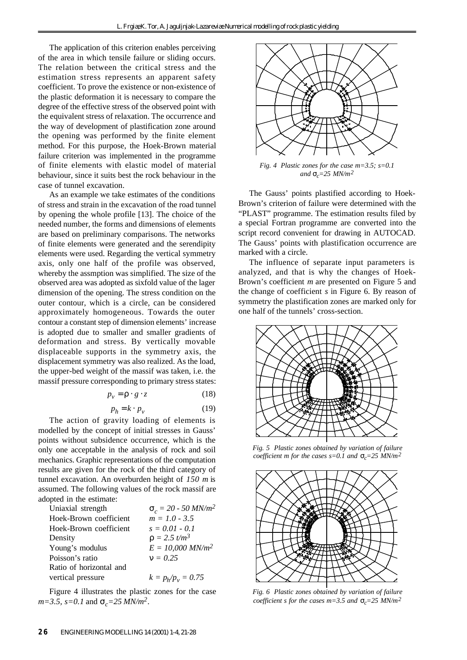The application of this criterion enables perceiving of the area in which tensile failure or sliding occurs. The relation between the critical stress and the estimation stress represents an apparent safety coefficient. To prove the existence or non-existence of the plastic deformation it is necessary to compare the degree of the effective stress of the observed point with the equivalent stress of relaxation. The occurrence and the way of development of plastification zone around the opening was performed by the finite element method. For this purpose, the Hoek-Brown material failure criterion was implemented in the programme of finite elements with elastic model of material behaviour, since it suits best the rock behaviour in the case of tunnel excavation.

As an example we take estimates of the conditions of stress and strain in the excavation of the road tunnel by opening the whole profile [13]. The choice of the needed number, the forms and dimensions of elements are based on preliminary comparisons. The networks of finite elements were generated and the serendipity elements were used. Regarding the vertical symmetry axis, only one half of the profile was observed, whereby the assmption was simplified. The size of the observed area was adopted as sixfold value of the lager dimension of the opening. The stress condition on the outer contour, which is a circle, can be considered approximately homogeneous. Towards the outer contour a constant step of dimension elements' increase is adopted due to smaller and smaller gradients of deformation and stress. By vertically movable displaceable supports in the symmetry axis, the displacement symmetry was also realized. As the load, the upper-bed weight of the massif was taken, i.e. the massif pressure corresponding to primary stress states:

$$
p_{v} = \mathbf{r} \cdot g \cdot z \tag{18}
$$

$$
p_h = k \cdot p_v \tag{19}
$$

The action of gravity loading of elements is modelled by the concept of initial stresses in Gauss' points without subsidence occurrence, which is the only one acceptable in the analysis of rock and soil mechanics. Graphic representations of the computation results are given for the rock of the third category of tunnel excavation. An overburden height of *150 m* is assumed. The following values of the rock massif are adopted in the estimate:

| Uniaxial strength       | $S_c = 20 - 50$ MN/m <sup>2</sup> |
|-------------------------|-----------------------------------|
| Hoek-Brown coefficient  | $m = 1.0 - 3.5$                   |
| Hoek-Brown coefficient  | $s = 0.01 - 0.1$                  |
| Density                 | $r = 2.5 t/m^3$                   |
| Young's modulus         | $E = 10,000$ MN/m <sup>2</sup>    |
| Poisson's ratio         | $n = 0.25$                        |
| Ratio of horizontal and |                                   |
| vertical pressure       | $k = p_h / p_v = 0.75$            |
|                         |                                   |

Figure 4 illustrates the plastic zones for the case  $m=3.5$ ,  $s=0.1$  and  $s_c=25$  MN/m<sup>2</sup>.



The Gauss' points plastified according to Hoek-Brown's criterion of failure were determined with the "PLAST" programme. The estimation results filed by a special Fortran programme are converted into the script record convenient for drawing in AUTOCAD. The Gauss' points with plastification occurrence are marked with a circle.

The influence of separate input parameters is analyzed, and that is why the changes of Hoek-Brown's coefficient *m* are presented on Figure 5 and the change of coefficient *s* in Figure 6. By reason of symmetry the plastification zones are marked only for one half of the tunnels' cross-section.



*Fig. 5 Plastic zones obtained by variation of failure coefficient m for the cases s=0.1 and sc=25 MN/m<sup>2</sup>*



*Fig. 6 Plastic zones obtained by variation of failure coefficient s for the cases m=3.5 and*  $\mathbf{s}_c = 25$  MN/m<sup>2</sup>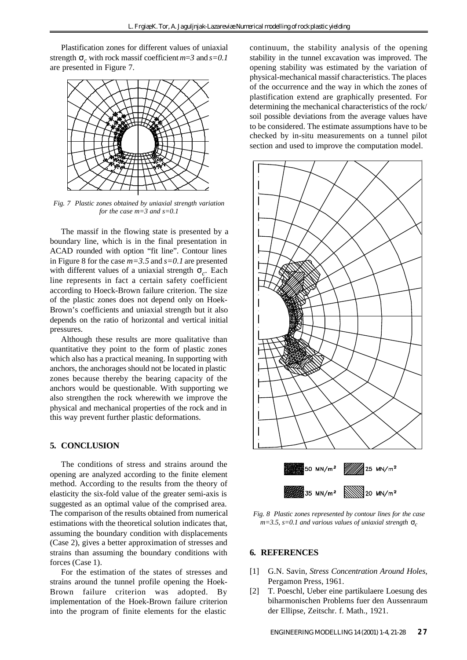Plastification zones for different values of uniaxial strength  $\mathbf{s}_c$  with rock massif coefficient  $m=3$  and  $s=0.1$ are presented in Figure 7.



*Fig. 7 Plastic zones obtained by uniaxial strength variation for the case m=3 and s=0.1*

The massif in the flowing state is presented by a boundary line, which is in the final presentation in ACAD rounded with option "fit line". Contour lines in Figure 8 for the case *m=3.5* and *s=0.1* are presented with different values of a uniaxial strength *s<sup>c</sup>* . Each line represents in fact a certain safety coefficient according to Hoeck-Brown failure criterion. The size of the plastic zones does not depend only on Hoek-Brown's coefficients and uniaxial strength but it also depends on the ratio of horizontal and vertical initial pressures.

Although these results are more qualitative than quantitative they point to the form of plastic zones which also has a practical meaning. In supporting with anchors, the anchorages should not be located in plastic zones because thereby the bearing capacity of the anchors would be questionable. With supporting we also strengthen the rock wherewith we improve the physical and mechanical properties of the rock and in this way prevent further plastic deformations.

# **5. CONCLUSION**

The conditions of stress and strains around the opening are analyzed according to the finite element method. According to the results from the theory of elasticity the six-fold value of the greater semi-axis is suggested as an optimal value of the comprised area. The comparison of the results obtained from numerical estimations with the theoretical solution indicates that, assuming the boundary condition with displacements (Case 2), gives a better approximation of stresses and strains than assuming the boundary conditions with forces (Case 1).

For the estimation of the states of stresses and strains around the tunnel profile opening the Hoek-Brown failure criterion was adopted. By implementation of the Hoek-Brown failure criterion into the program of finite elements for the elastic

continuum, the stability analysis of the opening stability in the tunnel excavation was improved. The opening stability was estimated by the variation of physical-mechanical massif characteristics. The places of the occurrence and the way in which the zones of plastification extend are graphically presented. For determining the mechanical characteristics of the rock/ soil possible deviations from the average values have to be considered. The estimate assumptions have to be checked by in-situ measurements on a tunnel pilot section and used to improve the computation model.



*Fig. 8 Plastic zones represented by contour lines for the case*  $m=3.5$ ,  $s=0.1$  and various values of uniaxial strength  $\mathbf{s}_c$ 

#### **6. REFERENCES**

- [1] G.N. Savin, *Stress Concentration Around Holes*, Pergamon Press, 1961.
- [2] T. Poeschl, Ueber eine partikulaere Loesung des biharmonischen Problems fuer den Aussenraum der Ellipse, Zeitschr. f. Math., 1921.